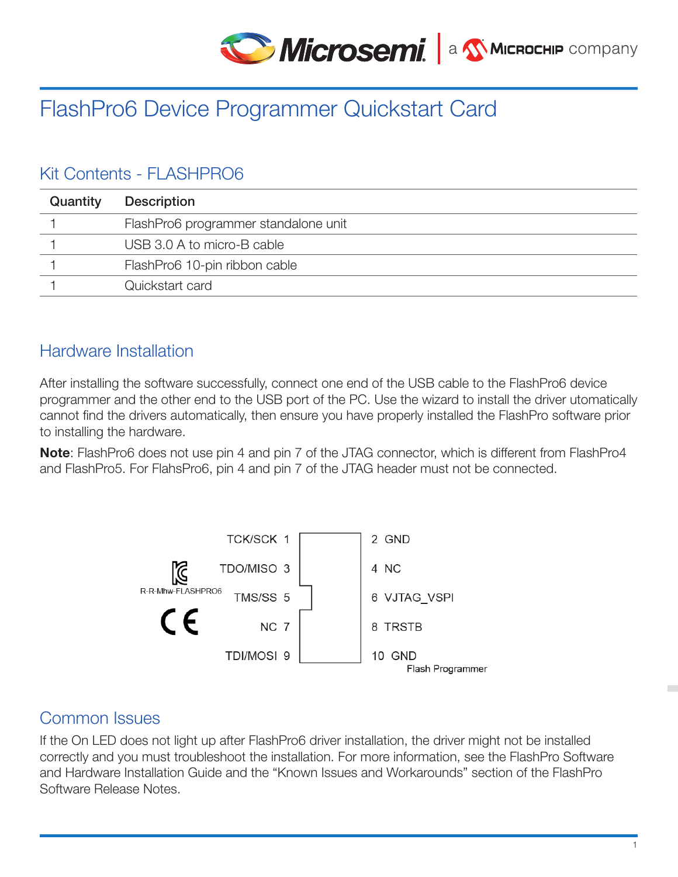

# FlashPro6 Device Programmer Quickstart Card

# Kit Contents - FLASHPRO6

| Quantity | <b>Description</b>                   |
|----------|--------------------------------------|
|          | FlashPro6 programmer standalone unit |
|          | USB 3.0 A to micro-B cable           |
|          | FlashPro6 10-pin ribbon cable        |
|          | Quickstart card                      |

### Hardware Installation

After installing the software successfully, connect one end of the USB cable to the FlashPro6 device programmer and the other end to the USB port of the PC. Use the wizard to install the driver utomatically cannot find the drivers automatically, then ensure you have properly installed the FlashPro software prior to installing the hardware.

Note: FlashPro6 does not use pin 4 and pin 7 of the JTAG connector, which is different from FlashPro4 and FlashPro5. For FlahsPro6, pin 4 and pin 7 of the JTAG header must not be connected.



# Common Issues

If the On LED does not light up after FlashPro6 driver installation, the driver might not be installed correctly and you must troubleshoot the installation. For more information, see the FlashPro Software and Hardware Installation Guide and the "Known Issues and Workarounds" section of the FlashPro Software Release Notes.